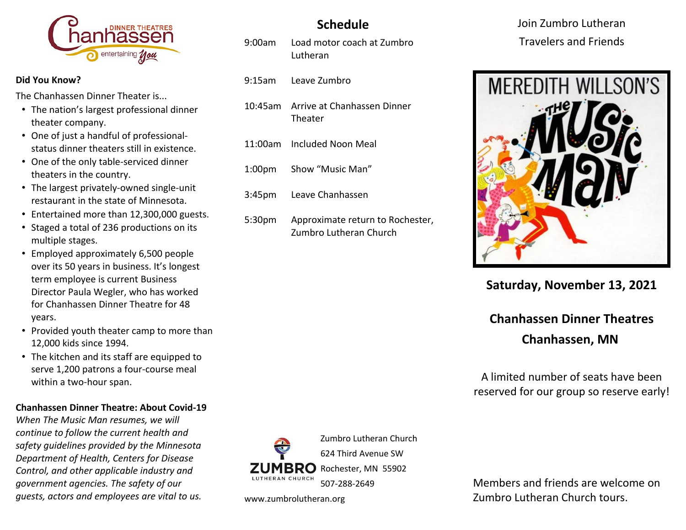

#### **Did You Know?**

The Chanhassen Dinner Theater is...

- The nation's largest professional dinner theater company.
- One of just a handful of professionalstatus dinner theaters still in existence.
- One of the only table-serviced dinner theaters in the country.
- The largest privately-owned single-unit restaurant in the state of Minnesota.
- Entertained more than 12,300,000 guests.
- Staged a total of 236 productions on its multiple stages.
- Employed approximately 6,500 people over its 50 years in business. It's longest term employee is current Business Director Paula Wegler, who has worked for Chanhassen Dinner Theatre for 48 years.
- Provided youth theater camp to more than 12,000 kids since 1994.
- The kitchen and its staff are equipped to serve 1,200 patrons a four-course meal within a two-hour span.

### **Chanhassen Dinner Theatre: About Covid-19**

*When The Music Man resumes, we will continue to follow the current health and safety guidelines provided by the Minnesota Department of Health, Centers for Disease Control, and other applicable industry and government agencies. The safety of our guests, actors and employees are vital to us.*

# **Schedule**

- 9:00am Load motor coach at Zumbro Lutheran
- 9:15am Leave Zumbro
- 10:45am Arrive at Chanhassen Dinner Theater
- 11:00am Included Noon Meal
- 1:00pm Show "Music Man"
- 3:45pm Leave Chanhassen
- 5:30pm Approximate return to Rochester, Zumbro Lutheran Church

Join Zumbro Lutheran Travelers and Friends



**Saturday, November 13, 2021**

# **Chanhassen Dinner Theatres Chanhassen, MN**

A limited number of seats have been reserved for our group so reserve early!



www.zumbrolutheran.org

Members and friends are welcome on Zumbro Lutheran Church tours.